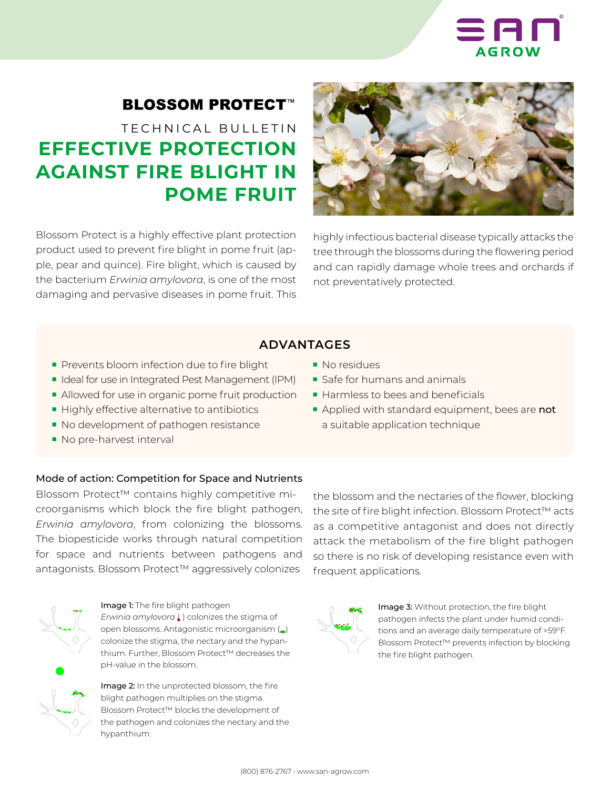

## **BLOSSOM PROTECT™**

# TECHNICAL BULLETIN **EFFECTIVE PROTECTION AGAINST FIRE BLIGHT IN POME FRUIT**

Blossom Protect is a highly effective plant protection product used to prevent fire blight in pome fruit (apple, pear and quince). Fire blight, which is caused by the bacterium *Erwinia amylovora*, is one of the most damaging and pervasive diseases in pome fruit. This



highly infectious bacterial disease typically attacks the tree through the blossoms during the flowering period and can rapidly damage whole trees and orchards if not preventatively protected.

## **ADVANTAGES**

- Prevents bloom infection due to fire blight
- Ideal for use in Integrated Pest Management (IPM)
- Allowed for use in organic pome fruit production
- Highly effective alternative to antibiotics
- No development of pathogen resistance
- No pre-harvest interval

## ■ No residues

- Safe for humans and animals
- Harmless to bees and beneficials
- Applied with standard equipment, bees are not a suitable application technique

## Mode of action: Competition for Space and Nutrients

Blossom Protect™ contains highly competitive microorganisms which block the fire blight pathogen, *Erwinia amylovora*, from colonizing the blossoms. The biopesticide works through natural competition for space and nutrients between pathogens and antagonists. Blossom Protect™ aggressively colonizes



## Image 1: The fire blight pathogen

*Erwinia amylovora* ( ) colonizes the stigma of open blossoms. Antagonistic microorganism (.) colonize the stigma, the nectary and the hypanthium. Further, Blossom Protect™ decreases the pH-value in the blossom.



Image 2: In the unprotected blossom, the fire blight pathogen multiplies on the stigma. Blossom Protect™ blocks the development of the pathogen and colonizes the nectary and the hypanthium.

the blossom and the nectaries of the flower, blocking the site of fire blight infection. Blossom Protect™ acts as a competitive antagonist and does not directly attack the metabolism of the fire blight pathogen so there is no risk of developing resistance even with frequent applications.



Image 3: Without protection, the fire blight pathogen infects the plant under humid conditions and an average daily temperature of >59°F. Blossom Protect™ prevents infection by blocking the fire blight pathogen.